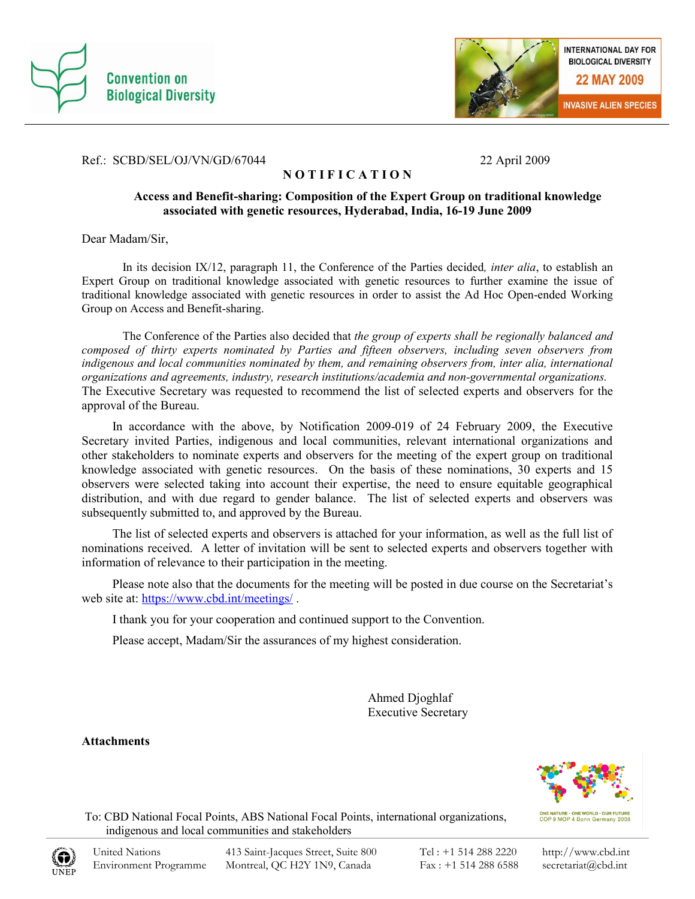



#### Ref.: SCBD/SEL/OJ/VN/GD/67044 22 April 2009

### **N O T I F I C A T I O N**

#### **Access and Benefit-sharing: Composition of the Expert Group on traditional knowledge associated with genetic resources, Hyderabad, India, 16-19 June 2009**

Dear Madam/Sir,

In its decision IX/12, paragraph 11, the Conference of the Parties decided*, inter alia*, to establish an Expert Group on traditional knowledge associated with genetic resources to further examine the issue of traditional knowledge associated with genetic resources in order to assist the Ad Hoc Open-ended Working Group on Access and Benefit-sharing.

The Conference of the Parties also decided that *the group of experts shall be regionally balanced and composed of thirty experts nominated by Parties and fifteen observers, including seven observers from indigenous and local communities nominated by them, and remaining observers from, inter alia, international organizations and agreements, industry, research institutions/academia and non-governmental organizations.* The Executive Secretary was requested to recommend the list of selected experts and observers for the approval of the Bureau.

In accordance with the above, by Notification 2009-019 of 24 February 2009, the Executive Secretary invited Parties, indigenous and local communities, relevant international organizations and other stakeholders to nominate experts and observers for the meeting of the expert group on traditional knowledge associated with genetic resources. On the basis of these nominations, 30 experts and 15 observers were selected taking into account their expertise, the need to ensure equitable geographical distribution, and with due regard to gender balance. The list of selected experts and observers was subsequently submitted to, and approved by the Bureau.

The list of selected experts and observers is attached for your information, as well as the full list of nominations received. A letter of invitation will be sent to selected experts and observers together with information of relevance to their participation in the meeting.

Please note also that the documents for the meeting will be posted in due course on the Secretariat's web site at:<https://www.cbd.int/meetings/> .

I thank you for your cooperation and continued support to the Convention.

Please accept, Madam/Sir the assurances of my highest consideration.

Ahmed Djoghlaf Executive Secretary

**Attachments**



ONE NATURE · ONE WORLD · OUR FUTURE<br>COP 9 MOP 4 Bonn Germany 2008

 To: CBD National Focal Points, ABS National Focal Points, international organizations, indigenous and local communities and stakeholders

http://www.cbd.int secretariat@cbd.int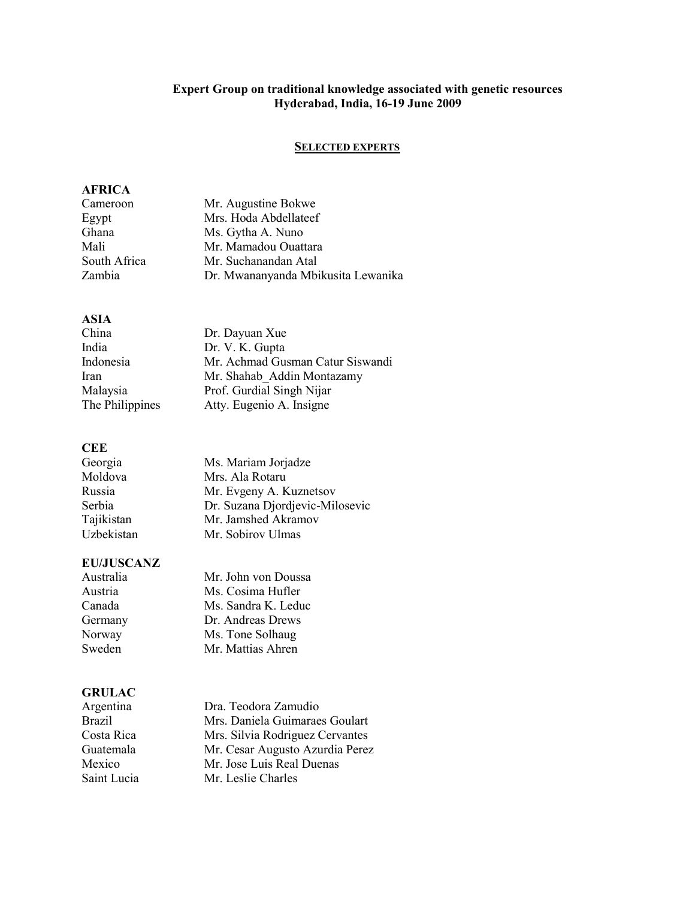#### **Expert Group on traditional knowledge associated with genetic resources Hyderabad, India, 16-19 June 2009**

## **SELECTED EXPERTS**

#### **AFRICA**

| Mr. Augustine Bokwe                |
|------------------------------------|
| Mrs. Hoda Abdellateef              |
| Ms. Gytha A. Nuno                  |
| Mr. Mamadou Ouattara               |
| Mr. Suchanandan Atal               |
| Dr. Mwananyanda Mbikusita Lewanika |
|                                    |

## **ASIA**

| China           | Dr. Dayuan Xue                   |
|-----------------|----------------------------------|
| India           | Dr. V. K. Gupta                  |
| Indonesia       | Mr. Achmad Gusman Catur Siswandi |
| Iran            | Mr. Shahab Addin Montazamy       |
| Malaysia        | Prof. Gurdial Singh Nijar        |
| The Philippines | Atty. Eugenio A. Insigne         |

## **CEE**

| Georgia    | Ms. Mariam Jorjadze             |
|------------|---------------------------------|
| Moldova    | Mrs. Ala Rotaru                 |
| Russia     | Mr. Evgeny A. Kuznetsov         |
| Serbia     | Dr. Suzana Djordjevic-Milosevic |
| Tajikistan | Mr. Jamshed Akramov             |
| Uzbekistan | Mr. Sobirov Ulmas               |

## **EU/JUSCANZ**

| Mr. John von Doussa |
|---------------------|
| Ms. Cosima Hufler   |
| Ms. Sandra K. Leduc |
| Dr. Andreas Drews   |
| Ms. Tone Solhaug    |
| Mr. Mattias Ahren   |
|                     |

## **GRULAC**

| unvern        |                                 |
|---------------|---------------------------------|
| Argentina     | Dra. Teodora Zamudio            |
| <b>Brazil</b> | Mrs. Daniela Guimaraes Goulart  |
| Costa Rica    | Mrs. Silvia Rodriguez Cervantes |
| Guatemala     | Mr. Cesar Augusto Azurdia Perez |
| Mexico        | Mr. Jose Luis Real Duenas       |
| Saint Lucia   | Mr. Leslie Charles              |
|               |                                 |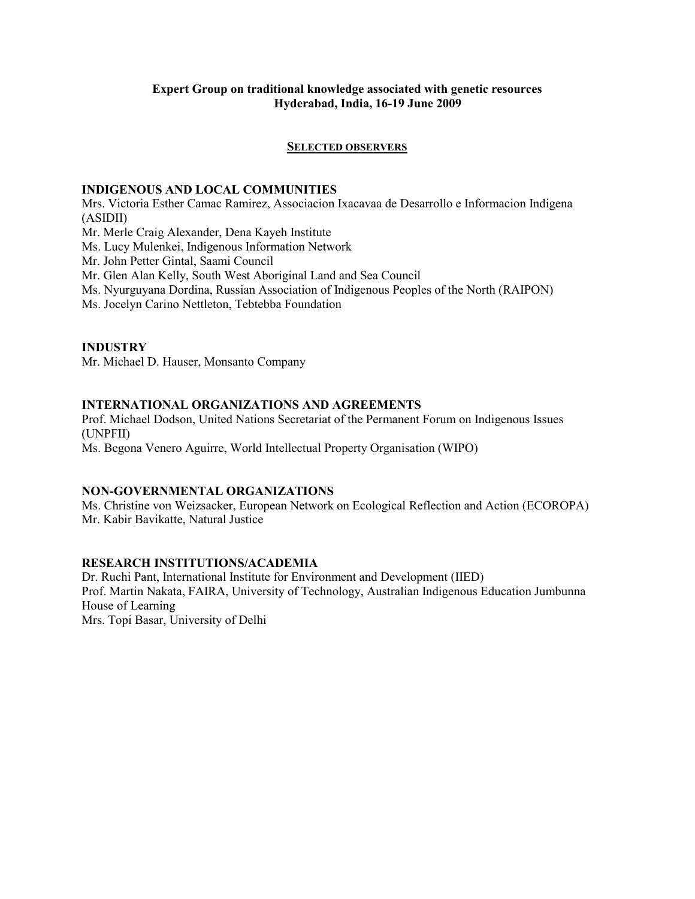#### **Expert Group on traditional knowledge associated with genetic resources Hyderabad, India, 16-19 June 2009**

#### **SELECTED OBSERVERS**

#### **INDIGENOUS AND LOCAL COMMUNITIES**

Mrs. Victoria Esther Camac Ramirez, Associacion Ixacavaa de Desarrollo e Informacion Indigena (ASIDII) Mr. Merle Craig Alexander, Dena Kayeh Institute Ms. Lucy Mulenkei, Indigenous Information Network Mr. John Petter Gintal, Saami Council Mr. Glen Alan Kelly, South West Aboriginal Land and Sea Council Ms. Nyurguyana Dordina, Russian Association of Indigenous Peoples of the North (RAIPON)

Ms. Jocelyn Carino Nettleton, Tebtebba Foundation

#### **INDUSTRY**

Mr. Michael D. Hauser, Monsanto Company

#### **INTERNATIONAL ORGANIZATIONS AND AGREEMENTS**

Prof. Michael Dodson, United Nations Secretariat of the Permanent Forum on Indigenous Issues (UNPFII)

Ms. Begona Venero Aguirre, World Intellectual Property Organisation (WIPO)

#### **NON-GOVERNMENTAL ORGANIZATIONS**

Ms. Christine von Weizsacker, European Network on Ecological Reflection and Action (ECOROPA) Mr. Kabir Bavikatte, Natural Justice

#### **RESEARCH INSTITUTIONS/ACADEMIA**

Dr. Ruchi Pant, International Institute for Environment and Development (IIED) Prof. Martin Nakata, FAIRA, University of Technology, Australian Indigenous Education Jumbunna House of Learning

Mrs. Topi Basar, University of Delhi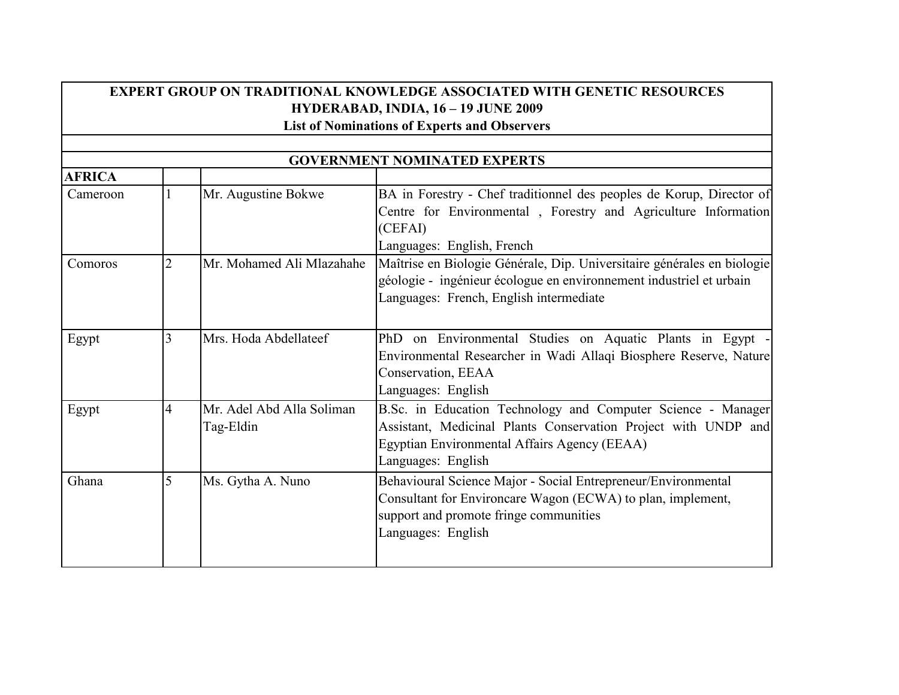# **EXPERT GROUP ON TRADITIONAL KNOWLEDGE ASSOCIATED WITH GENETIC RESOURCES HYDERABAD, INDIA, 16 – 19 JUNE 2009**

**List of Nominations of Experts and Observers**

| <b>GOVERNMENT NOMINATED EXPERTS</b> |                |                                        |                                                                                                                                                                                                      |
|-------------------------------------|----------------|----------------------------------------|------------------------------------------------------------------------------------------------------------------------------------------------------------------------------------------------------|
| <b>AFRICA</b>                       |                |                                        |                                                                                                                                                                                                      |
| Cameroon                            |                | Mr. Augustine Bokwe                    | BA in Forestry - Chef traditionnel des peoples de Korup, Director of<br>Centre for Environmental, Forestry and Agriculture Information<br>(CEFAI)<br>Languages: English, French                      |
| Comoros                             | $\overline{2}$ | Mr. Mohamed Ali Mlazahahe              | Maîtrise en Biologie Générale, Dip. Universitaire générales en biologie<br>géologie - ingénieur écologue en environnement industriel et urbain<br>Languages: French, English intermediate            |
| Egypt                               | 3              | Mrs. Hoda Abdellateef                  | PhD on Environmental Studies on Aquatic Plants in Egypt<br>Environmental Researcher in Wadi Allaqi Biosphere Reserve, Nature<br>Conservation, EEAA<br>Languages: English                             |
| Egypt                               | 4              | Mr. Adel Abd Alla Soliman<br>Tag-Eldin | B.Sc. in Education Technology and Computer Science - Manager<br>Assistant, Medicinal Plants Conservation Project with UNDP and<br>Egyptian Environmental Affairs Agency (EEAA)<br>Languages: English |
| Ghana                               | 5              | Ms. Gytha A. Nuno                      | Behavioural Science Major - Social Entrepreneur/Environmental<br>Consultant for Environcare Wagon (ECWA) to plan, implement,<br>support and promote fringe communities<br>Languages: English         |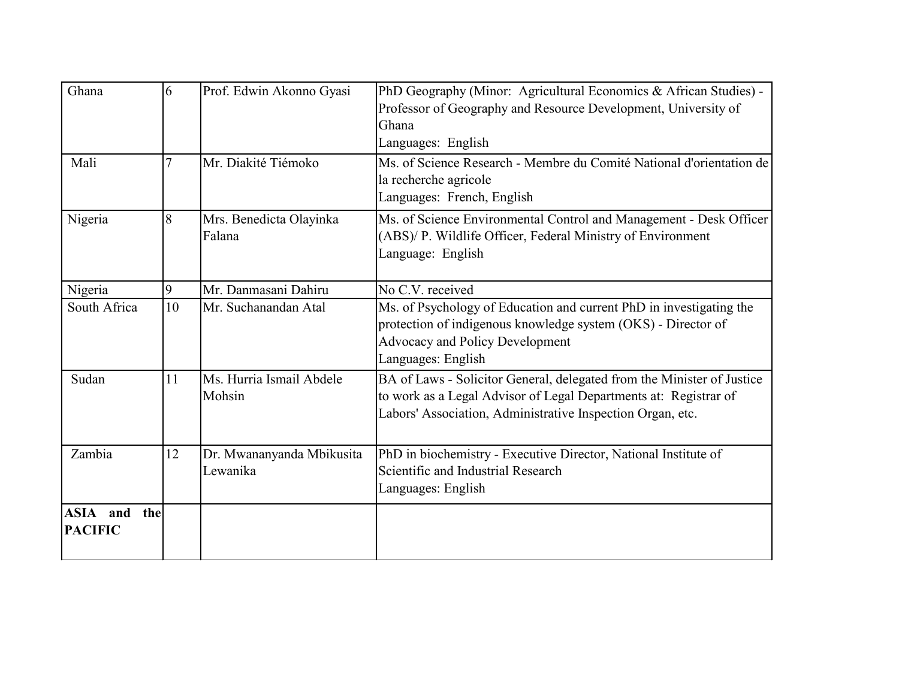| Ghana                             | 6  | Prof. Edwin Akonno Gyasi              | PhD Geography (Minor: Agricultural Economics & African Studies) -<br>Professor of Geography and Resource Development, University of<br>Ghana<br>Languages: English                                       |
|-----------------------------------|----|---------------------------------------|----------------------------------------------------------------------------------------------------------------------------------------------------------------------------------------------------------|
| Mali                              |    | Mr. Diakité Tiémoko                   | Ms. of Science Research - Membre du Comité National d'orientation de<br>la recherche agricole<br>Languages: French, English                                                                              |
| Nigeria                           | 8  | Mrs. Benedicta Olayinka<br>Falana     | Ms. of Science Environmental Control and Management - Desk Officer<br>(ABS)/ P. Wildlife Officer, Federal Ministry of Environment<br>Language: English                                                   |
| Nigeria                           | 9  | Mr. Danmasani Dahiru                  | No C.V. received                                                                                                                                                                                         |
| South Africa                      | 10 | Mr. Suchanandan Atal                  | Ms. of Psychology of Education and current PhD in investigating the<br>protection of indigenous knowledge system (OKS) - Director of<br><b>Advocacy and Policy Development</b><br>Languages: English     |
| Sudan                             | 11 | Ms. Hurria Ismail Abdele<br>Mohsin    | BA of Laws - Solicitor General, delegated from the Minister of Justice<br>to work as a Legal Advisor of Legal Departments at: Registrar of<br>Labors' Association, Administrative Inspection Organ, etc. |
| Zambia                            | 12 | Dr. Mwananyanda Mbikusita<br>Lewanika | PhD in biochemistry - Executive Director, National Institute of<br>Scientific and Industrial Research<br>Languages: English                                                                              |
| ASIA and<br>the<br><b>PACIFIC</b> |    |                                       |                                                                                                                                                                                                          |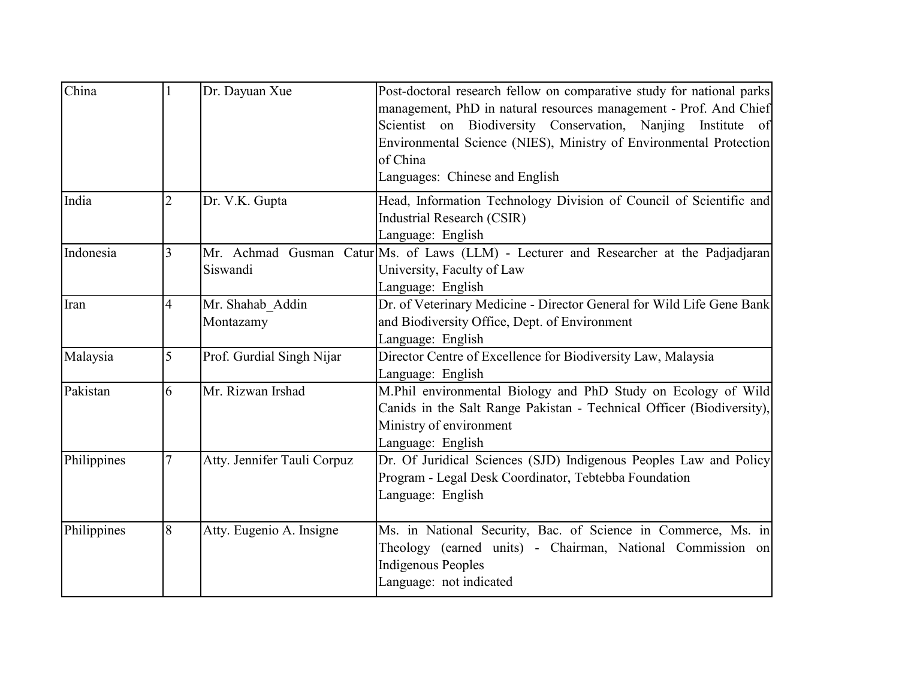| China       |                | Dr. Dayuan Xue                | Post-doctoral research fellow on comparative study for national parks<br>management, PhD in natural resources management - Prof. And Chief<br>Scientist on Biodiversity Conservation, Nanjing Institute of<br>Environmental Science (NIES), Ministry of Environmental Protection<br>of China<br>Languages: Chinese and English |
|-------------|----------------|-------------------------------|--------------------------------------------------------------------------------------------------------------------------------------------------------------------------------------------------------------------------------------------------------------------------------------------------------------------------------|
| India       | $\overline{2}$ | Dr. V.K. Gupta                | Head, Information Technology Division of Council of Scientific and<br><b>Industrial Research (CSIR)</b><br>Language: English                                                                                                                                                                                                   |
| Indonesia   | 3              | Siswandi                      | Mr. Achmad Gusman Catur Ms. of Laws (LLM) - Lecturer and Researcher at the Padjadjaran<br>University, Faculty of Law<br>Language: English                                                                                                                                                                                      |
| Iran        | $\overline{4}$ | Mr. Shahab Addin<br>Montazamy | Dr. of Veterinary Medicine - Director General for Wild Life Gene Bank<br>and Biodiversity Office, Dept. of Environment<br>Language: English                                                                                                                                                                                    |
| Malaysia    | 5              | Prof. Gurdial Singh Nijar     | Director Centre of Excellence for Biodiversity Law, Malaysia<br>Language: English                                                                                                                                                                                                                                              |
| Pakistan    | 6              | Mr. Rizwan Irshad             | M.Phil environmental Biology and PhD Study on Ecology of Wild<br>Canids in the Salt Range Pakistan - Technical Officer (Biodiversity),<br>Ministry of environment<br>Language: English                                                                                                                                         |
| Philippines | 7              | Atty. Jennifer Tauli Corpuz   | Dr. Of Juridical Sciences (SJD) Indigenous Peoples Law and Policy<br>Program - Legal Desk Coordinator, Tebtebba Foundation<br>Language: English                                                                                                                                                                                |
| Philippines | 8              | Atty. Eugenio A. Insigne      | Ms. in National Security, Bac. of Science in Commerce, Ms. in<br>Theology (earned units) - Chairman, National Commission on<br><b>Indigenous Peoples</b><br>Language: not indicated                                                                                                                                            |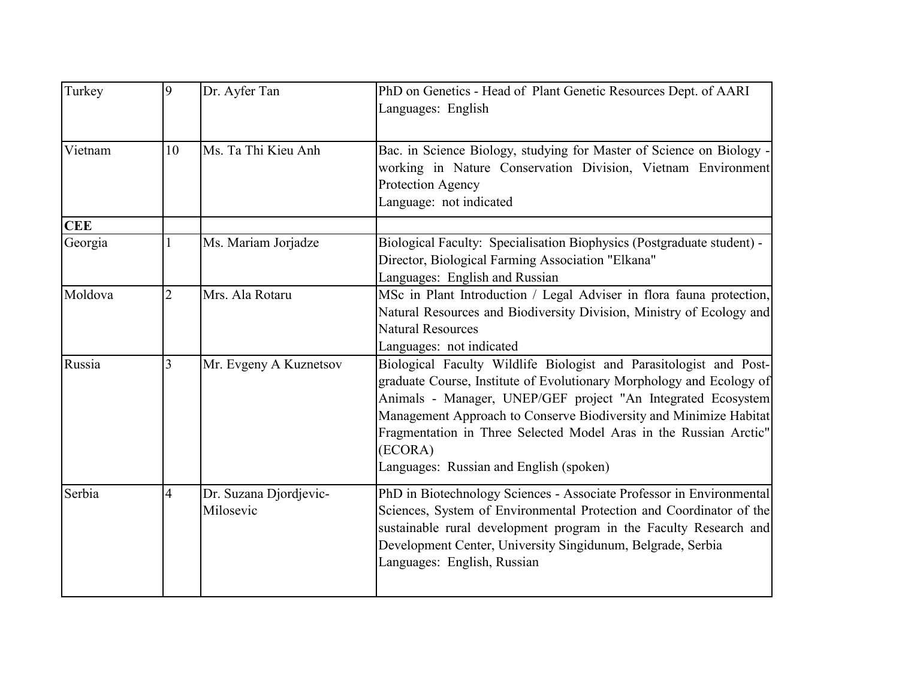| Turkey     | 9              | Dr. Ayfer Tan                       | PhD on Genetics - Head of Plant Genetic Resources Dept. of AARI<br>Languages: English                                                                                                                                                                                                                                                                                                                      |
|------------|----------------|-------------------------------------|------------------------------------------------------------------------------------------------------------------------------------------------------------------------------------------------------------------------------------------------------------------------------------------------------------------------------------------------------------------------------------------------------------|
| Vietnam    | 10             | Ms. Ta Thi Kieu Anh                 | Bac. in Science Biology, studying for Master of Science on Biology -<br>working in Nature Conservation Division, Vietnam Environment<br>Protection Agency<br>Language: not indicated                                                                                                                                                                                                                       |
| <b>CEE</b> |                |                                     |                                                                                                                                                                                                                                                                                                                                                                                                            |
| Georgia    |                | Ms. Mariam Jorjadze                 | Biological Faculty: Specialisation Biophysics (Postgraduate student) -<br>Director, Biological Farming Association "Elkana"<br>Languages: English and Russian                                                                                                                                                                                                                                              |
| Moldova    | $\overline{2}$ | Mrs. Ala Rotaru                     | MSc in Plant Introduction / Legal Adviser in flora fauna protection,<br>Natural Resources and Biodiversity Division, Ministry of Ecology and<br><b>Natural Resources</b><br>Languages: not indicated                                                                                                                                                                                                       |
| Russia     | 3              | Mr. Evgeny A Kuznetsov              | Biological Faculty Wildlife Biologist and Parasitologist and Post-<br>graduate Course, Institute of Evolutionary Morphology and Ecology of<br>Animals - Manager, UNEP/GEF project "An Integrated Ecosystem<br>Management Approach to Conserve Biodiversity and Minimize Habitat<br>Fragmentation in Three Selected Model Aras in the Russian Arctic"<br>(ECORA)<br>Languages: Russian and English (spoken) |
| Serbia     | $\overline{4}$ | Dr. Suzana Djordjevic-<br>Milosevic | PhD in Biotechnology Sciences - Associate Professor in Environmental<br>Sciences, System of Environmental Protection and Coordinator of the<br>sustainable rural development program in the Faculty Research and<br>Development Center, University Singidunum, Belgrade, Serbia<br>Languages: English, Russian                                                                                             |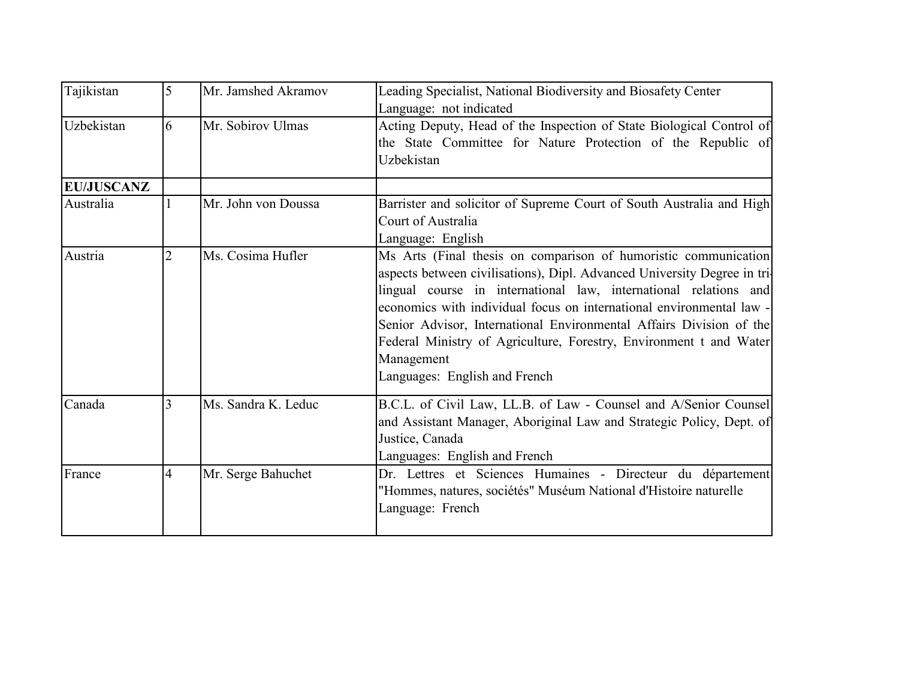| Tajikistan        | 5              | Mr. Jamshed Akramov | Leading Specialist, National Biodiversity and Biosafety Center<br>Language: not indicated                                                                                                                                                                                                                                                                                                                                                                                            |
|-------------------|----------------|---------------------|--------------------------------------------------------------------------------------------------------------------------------------------------------------------------------------------------------------------------------------------------------------------------------------------------------------------------------------------------------------------------------------------------------------------------------------------------------------------------------------|
| Uzbekistan        | 6              | Mr. Sobirov Ulmas   | Acting Deputy, Head of the Inspection of State Biological Control of<br>the State Committee for Nature Protection of the Republic of<br>Uzbekistan                                                                                                                                                                                                                                                                                                                                   |
| <b>EU/JUSCANZ</b> |                |                     |                                                                                                                                                                                                                                                                                                                                                                                                                                                                                      |
| Australia         |                | Mr. John von Doussa | Barrister and solicitor of Supreme Court of South Australia and High<br>Court of Australia<br>Language: English                                                                                                                                                                                                                                                                                                                                                                      |
| Austria           | $\overline{2}$ | Ms. Cosima Hufler   | Ms Arts (Final thesis on comparison of humoristic communication)<br>aspects between civilisations), Dipl. Advanced University Degree in tri-<br>lingual course in international law, international relations and<br>economics with individual focus on international environmental law -<br>Senior Advisor, International Environmental Affairs Division of the<br>Federal Ministry of Agriculture, Forestry, Environment t and Water<br>Management<br>Languages: English and French |
| Canada            |                | Ms. Sandra K. Leduc | B.C.L. of Civil Law, LL.B. of Law - Counsel and A/Senior Counsel<br>and Assistant Manager, Aboriginal Law and Strategic Policy, Dept. of<br>Justice, Canada<br>Languages: English and French                                                                                                                                                                                                                                                                                         |
| France            | $\overline{4}$ | Mr. Serge Bahuchet  | Dr. Lettres et Sciences Humaines - Directeur du département<br>"Hommes, natures, sociétés" Muséum National d'Histoire naturelle<br>Language: French                                                                                                                                                                                                                                                                                                                                  |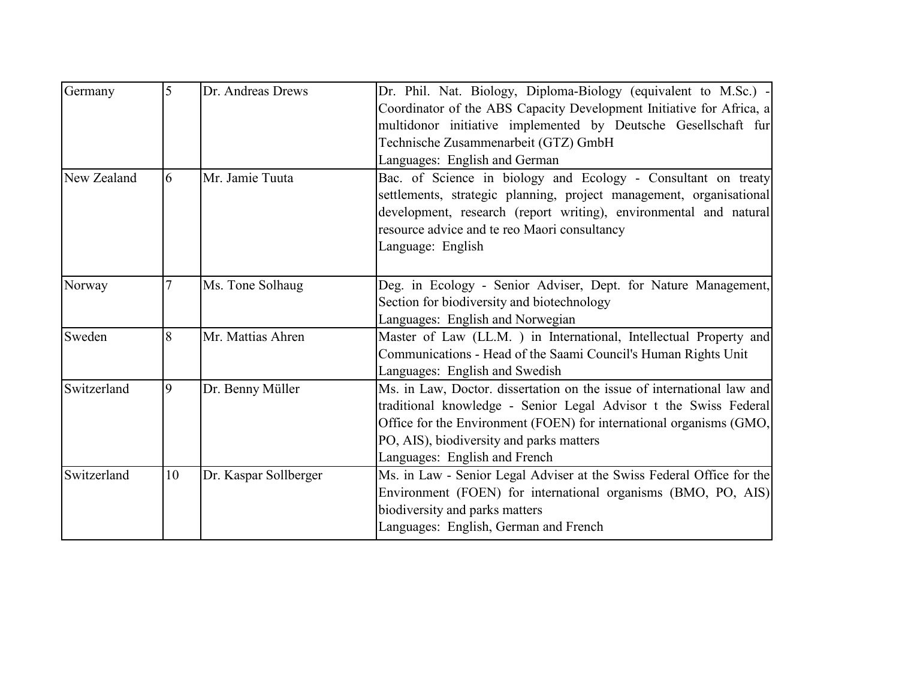| Germany     | 5  | Dr. Andreas Drews     | Dr. Phil. Nat. Biology, Diploma-Biology (equivalent to M.Sc.) -<br>Coordinator of the ABS Capacity Development Initiative for Africa, a<br>multidonor initiative implemented by Deutsche Gesellschaft fur<br>Technische Zusammenarbeit (GTZ) GmbH<br>Languages: English and German             |
|-------------|----|-----------------------|------------------------------------------------------------------------------------------------------------------------------------------------------------------------------------------------------------------------------------------------------------------------------------------------|
| New Zealand | 6  | Mr. Jamie Tuuta       | Bac. of Science in biology and Ecology - Consultant on treaty<br>settlements, strategic planning, project management, organisational<br>development, research (report writing), environmental and natural<br>resource advice and te reo Maori consultancy<br>Language: English                 |
| Norway      |    | Ms. Tone Solhaug      | Deg. in Ecology - Senior Adviser, Dept. for Nature Management,<br>Section for biodiversity and biotechnology<br>Languages: English and Norwegian                                                                                                                                               |
| Sweden      | 8  | Mr. Mattias Ahren     | Master of Law (LL.M. ) in International, Intellectual Property and<br>Communications - Head of the Saami Council's Human Rights Unit<br>Languages: English and Swedish                                                                                                                         |
| Switzerland | 9  | Dr. Benny Müller      | Ms. in Law, Doctor. dissertation on the issue of international law and<br>traditional knowledge - Senior Legal Advisor t the Swiss Federal<br>Office for the Environment (FOEN) for international organisms (GMO,<br>PO, AIS), biodiversity and parks matters<br>Languages: English and French |
| Switzerland | 10 | Dr. Kaspar Sollberger | Ms. in Law - Senior Legal Adviser at the Swiss Federal Office for the<br>Environment (FOEN) for international organisms (BMO, PO, AIS)<br>biodiversity and parks matters<br>Languages: English, German and French                                                                              |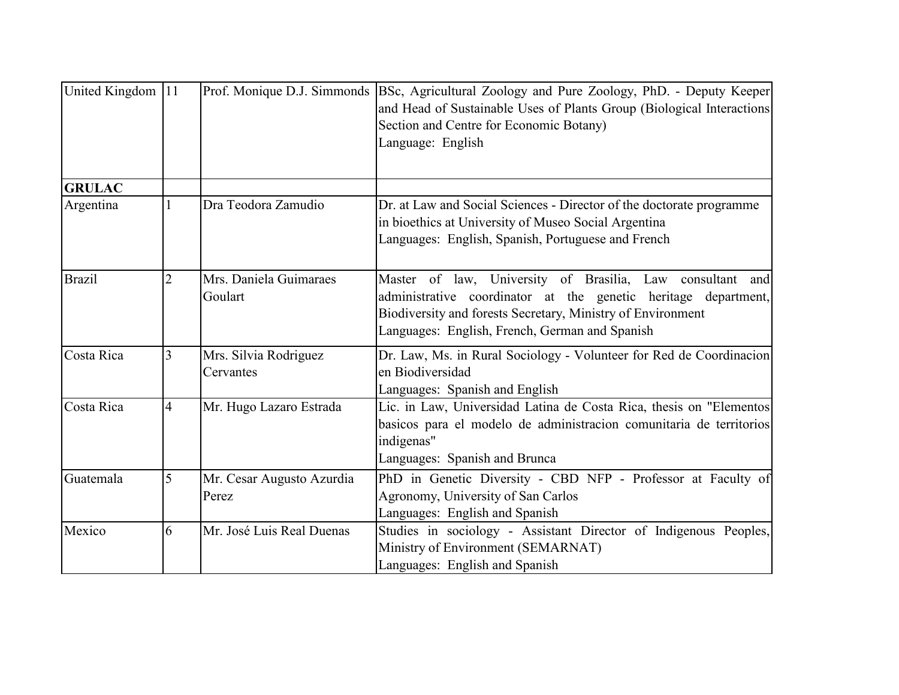| United Kingdom 11 |                |                                    | Prof. Monique D.J. Simmonds BSc, Agricultural Zoology and Pure Zoology, PhD. - Deputy Keeper<br>and Head of Sustainable Uses of Plants Group (Biological Interactions)<br>Section and Centre for Economic Botany)<br>Language: English          |
|-------------------|----------------|------------------------------------|-------------------------------------------------------------------------------------------------------------------------------------------------------------------------------------------------------------------------------------------------|
| <b>GRULAC</b>     |                |                                    |                                                                                                                                                                                                                                                 |
| Argentina         |                | Dra Teodora Zamudio                | Dr. at Law and Social Sciences - Director of the doctorate programme<br>in bioethics at University of Museo Social Argentina<br>Languages: English, Spanish, Portuguese and French                                                              |
| <b>Brazil</b>     |                | Mrs. Daniela Guimaraes<br>Goulart  | Master of law, University of Brasilia, Law consultant<br>and<br>administrative coordinator at the genetic heritage department,<br>Biodiversity and forests Secretary, Ministry of Environment<br>Languages: English, French, German and Spanish |
| Costa Rica        | 3              | Mrs. Silvia Rodriguez<br>Cervantes | Dr. Law, Ms. in Rural Sociology - Volunteer for Red de Coordinacion<br>en Biodiversidad<br>Languages: Spanish and English                                                                                                                       |
| Costa Rica        | $\overline{4}$ | Mr. Hugo Lazaro Estrada            | Lic. in Law, Universidad Latina de Costa Rica, thesis on "Elementos<br>basicos para el modelo de administracion comunitaria de territorios<br>indigenas"<br>Languages: Spanish and Brunca                                                       |
| Guatemala         | 5              | Mr. Cesar Augusto Azurdia<br>Perez | PhD in Genetic Diversity - CBD NFP - Professor at Faculty of<br>Agronomy, University of San Carlos<br>Languages: English and Spanish                                                                                                            |
| Mexico            | 6              | Mr. José Luis Real Duenas          | Studies in sociology - Assistant Director of Indigenous Peoples,<br>Ministry of Environment (SEMARNAT)<br>Languages: English and Spanish                                                                                                        |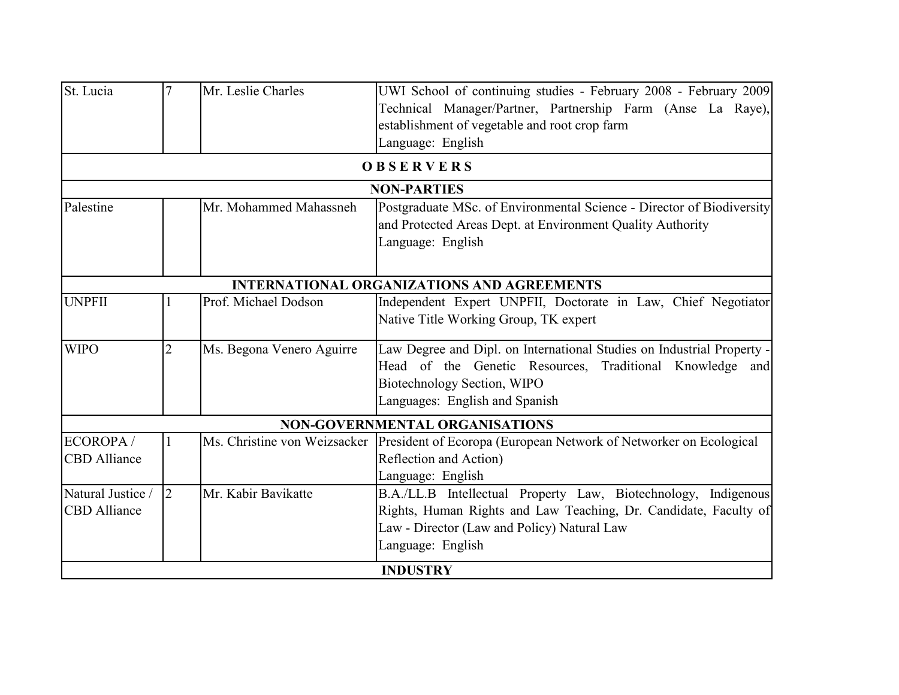|                                          |                |                           | UWI School of continuing studies - February 2008 - February 2009<br>Technical Manager/Partner, Partnership Farm (Anse La Raye),<br>establishment of vegetable and root crop farm<br>Language: English                     |
|------------------------------------------|----------------|---------------------------|---------------------------------------------------------------------------------------------------------------------------------------------------------------------------------------------------------------------------|
|                                          |                |                           | <b>OBSERVERS</b>                                                                                                                                                                                                          |
|                                          |                |                           | <b>NON-PARTIES</b>                                                                                                                                                                                                        |
| Palestine                                |                | Mr. Mohammed Mahassneh    | Postgraduate MSc. of Environmental Science - Director of Biodiversity<br>and Protected Areas Dept. at Environment Quality Authority<br>Language: English                                                                  |
|                                          |                |                           | <b>INTERNATIONAL ORGANIZATIONS AND AGREEMENTS</b>                                                                                                                                                                         |
| <b>UNPFII</b>                            |                | Prof. Michael Dodson      | Independent Expert UNPFII, Doctorate in Law, Chief Negotiator<br>Native Title Working Group, TK expert                                                                                                                    |
| <b>WIPO</b>                              | $\overline{2}$ | Ms. Begona Venero Aguirre | Law Degree and Dipl. on International Studies on Industrial Property -<br>Head of the Genetic Resources, Traditional Knowledge and<br>Biotechnology Section, WIPO<br>Languages: English and Spanish                       |
|                                          |                |                           | <b>NON-GOVERNMENTAL ORGANISATIONS</b>                                                                                                                                                                                     |
| ECOROPA/<br><b>CBD</b> Alliance          |                |                           | Ms. Christine von Weizsacker   President of Ecoropa (European Network of Networker on Ecological<br>Reflection and Action)<br>Language: English                                                                           |
| Natural Justice /<br><b>CBD</b> Alliance | l2             | Mr. Kabir Bavikatte       | B.A./LL.B Intellectual Property Law, Biotechnology, Indigenous<br>Rights, Human Rights and Law Teaching, Dr. Candidate, Faculty of<br>Law - Director (Law and Policy) Natural Law<br>Language: English<br><b>INDUSTRY</b> |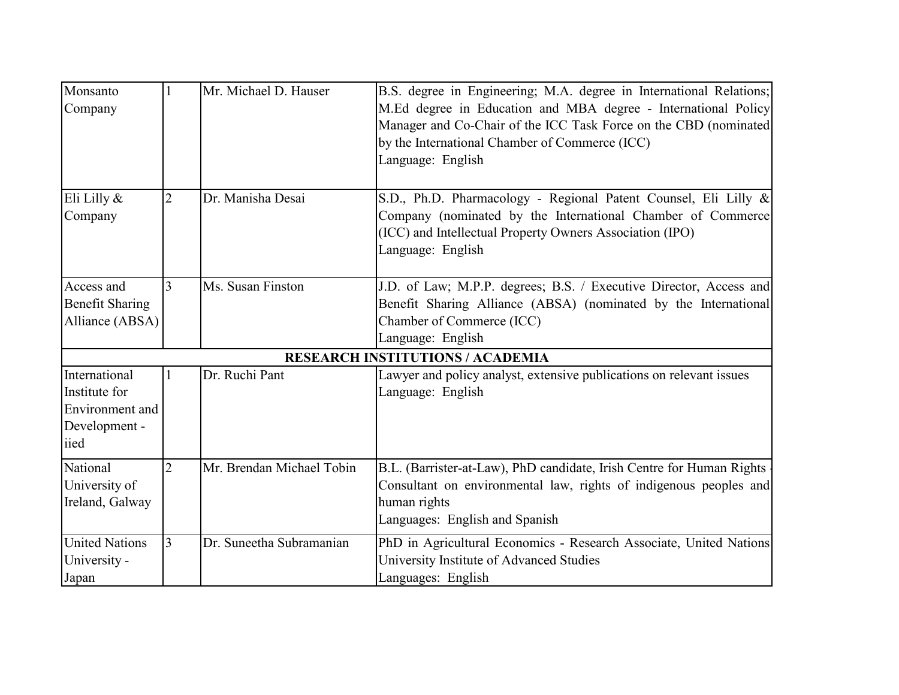| Monsanto<br>Company                                                        |                | Mr. Michael D. Hauser     | B.S. degree in Engineering; M.A. degree in International Relations;<br>M.Ed degree in Education and MBA degree - International Policy<br>Manager and Co-Chair of the ICC Task Force on the CBD (nominated)<br>by the International Chamber of Commerce (ICC)<br>Language: English |
|----------------------------------------------------------------------------|----------------|---------------------------|-----------------------------------------------------------------------------------------------------------------------------------------------------------------------------------------------------------------------------------------------------------------------------------|
| Eli Lilly $\&$<br>Company                                                  | $\overline{2}$ | Dr. Manisha Desai         | S.D., Ph.D. Pharmacology - Regional Patent Counsel, Eli Lilly &<br>Company (nominated by the International Chamber of Commerce<br>(ICC) and Intellectual Property Owners Association (IPO)<br>Language: English                                                                   |
| Access and<br><b>Benefit Sharing</b><br>Alliance (ABSA)                    | 3              | Ms. Susan Finston         | J.D. of Law; M.P.P. degrees; B.S. / Executive Director, Access and<br>Benefit Sharing Alliance (ABSA) (nominated by the International<br>Chamber of Commerce (ICC)<br>Language: English                                                                                           |
|                                                                            |                |                           | <b>RESEARCH INSTITUTIONS / ACADEMIA</b>                                                                                                                                                                                                                                           |
| International<br>Institute for<br>Environment and<br>Development -<br>iied |                | Dr. Ruchi Pant            | Lawyer and policy analyst, extensive publications on relevant issues<br>Language: English                                                                                                                                                                                         |
| National<br>University of<br>Ireland, Galway                               | $\overline{2}$ | Mr. Brendan Michael Tobin | B.L. (Barrister-at-Law), PhD candidate, Irish Centre for Human Rights<br>Consultant on environmental law, rights of indigenous peoples and<br>human rights<br>Languages: English and Spanish                                                                                      |
| <b>United Nations</b><br>University -<br>Japan                             | 3              | Dr. Suneetha Subramanian  | PhD in Agricultural Economics - Research Associate, United Nations<br>University Institute of Advanced Studies<br>Languages: English                                                                                                                                              |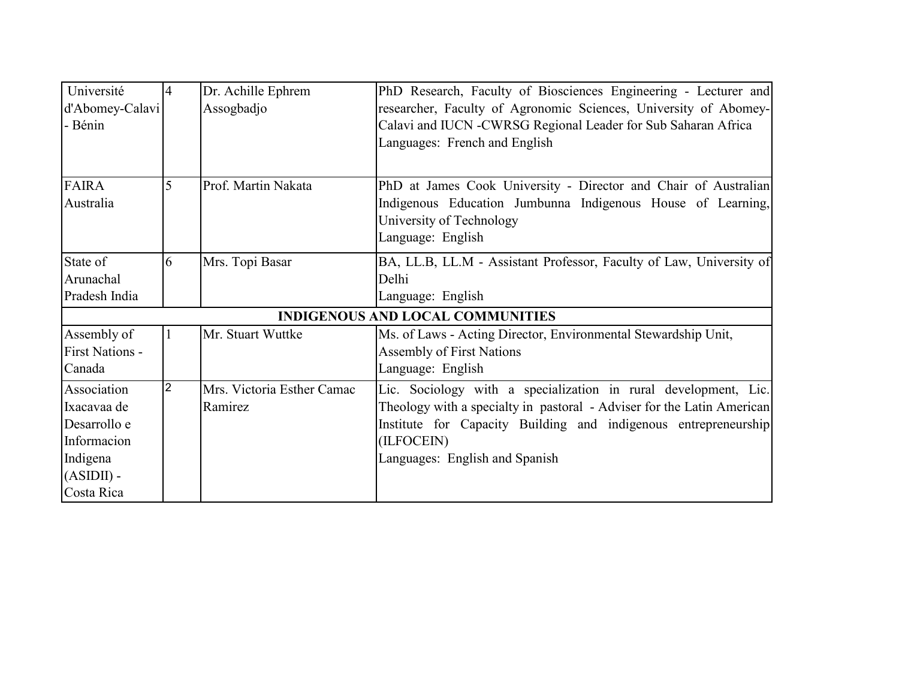| Université             | 14 | Dr. Achille Ephrem         | PhD Research, Faculty of Biosciences Engineering - Lecturer and        |
|------------------------|----|----------------------------|------------------------------------------------------------------------|
| d'Abomey-Calavi        |    | Assogbadjo                 | researcher, Faculty of Agronomic Sciences, University of Abomey-       |
| - Bénin                |    |                            | Calavi and IUCN -CWRSG Regional Leader for Sub Saharan Africa          |
|                        |    |                            | Languages: French and English                                          |
|                        |    |                            |                                                                        |
| <b>FAIRA</b>           |    | Prof. Martin Nakata        | PhD at James Cook University - Director and Chair of Australian        |
| Australia              |    |                            | Indigenous Education Jumbunna Indigenous House of Learning,            |
|                        |    |                            | University of Technology                                               |
|                        |    |                            | Language: English                                                      |
| State of               | 6  | Mrs. Topi Basar            | BA, LL.B, LL.M - Assistant Professor, Faculty of Law, University of    |
| Arunachal              |    |                            | Delhi                                                                  |
| Pradesh India          |    |                            | Language: English                                                      |
|                        |    |                            | <b>INDIGENOUS AND LOCAL COMMUNITIES</b>                                |
| Assembly of            |    | Mr. Stuart Wuttke          | Ms. of Laws - Acting Director, Environmental Stewardship Unit,         |
| <b>First Nations -</b> |    |                            | <b>Assembly of First Nations</b>                                       |
| Canada                 |    |                            | Language: English                                                      |
| Association            | 2  | Mrs. Victoria Esther Camac | Lic. Sociology with a specialization in rural development, Lic.        |
| Ixacavaa de            |    | Ramirez                    | Theology with a specialty in pastoral - Adviser for the Latin American |
| Desarrollo e           |    |                            | Institute for Capacity Building and indigenous entrepreneurship        |
| Informacion            |    |                            | (ILFOCEIN)                                                             |
| Indigena               |    |                            | Languages: English and Spanish                                         |
| $(ASIDII)$ -           |    |                            |                                                                        |
| Costa Rica             |    |                            |                                                                        |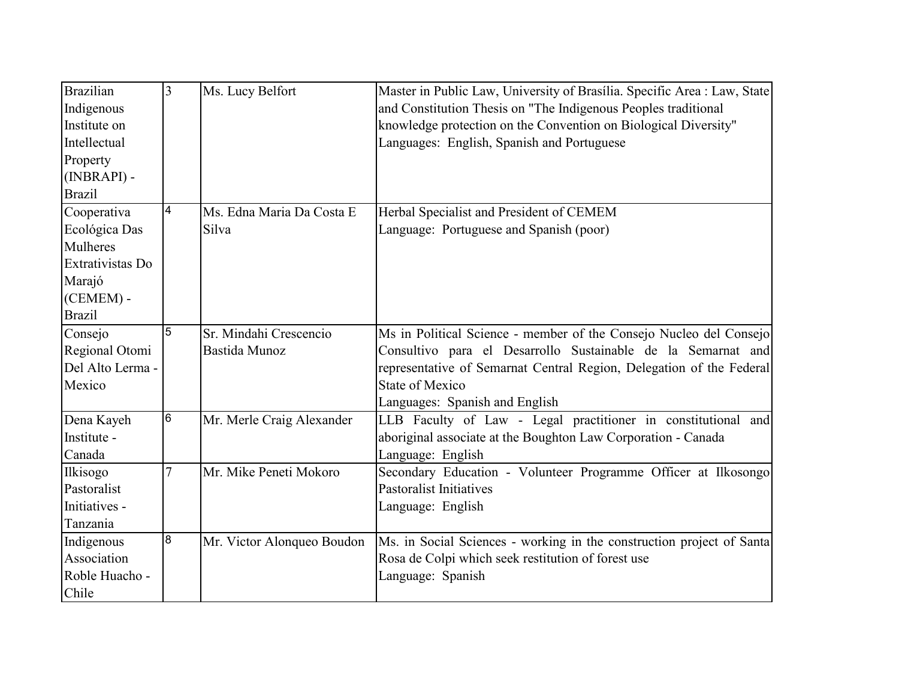| <b>Brazilian</b> | 3               | Ms. Lucy Belfort           | Master in Public Law, University of Brasília. Specific Area : Law, State |
|------------------|-----------------|----------------------------|--------------------------------------------------------------------------|
| Indigenous       |                 |                            | and Constitution Thesis on "The Indigenous Peoples traditional           |
| Institute on     |                 |                            | knowledge protection on the Convention on Biological Diversity"          |
| Intellectual     |                 |                            | Languages: English, Spanish and Portuguese                               |
| Property         |                 |                            |                                                                          |
| (INBRAPI) -      |                 |                            |                                                                          |
| <b>Brazil</b>    |                 |                            |                                                                          |
| Cooperativa      | $\overline{4}$  | Ms. Edna Maria Da Costa E  | Herbal Specialist and President of CEMEM                                 |
| Ecológica Das    |                 | Silva                      | Language: Portuguese and Spanish (poor)                                  |
| Mulheres         |                 |                            |                                                                          |
| Extrativistas Do |                 |                            |                                                                          |
| Marajó           |                 |                            |                                                                          |
| (CEMEM) -        |                 |                            |                                                                          |
| <b>Brazil</b>    |                 |                            |                                                                          |
| Consejo          | 5               | Sr. Mindahi Crescencio     | Ms in Political Science - member of the Consejo Nucleo del Consejo       |
| Regional Otomi   |                 | Bastida Munoz              | Consultivo para el Desarrollo Sustainable de la Semarnat and             |
| Del Alto Lerma - |                 |                            | representative of Semarnat Central Region, Delegation of the Federal     |
| Mexico           |                 |                            | <b>State of Mexico</b>                                                   |
|                  |                 |                            | Languages: Spanish and English                                           |
| Dena Kayeh       | $6\overline{6}$ | Mr. Merle Craig Alexander  | LLB Faculty of Law - Legal practitioner in constitutional and            |
| Institute -      |                 |                            | aboriginal associate at the Boughton Law Corporation - Canada            |
| Canada           |                 |                            | Language: English                                                        |
| Ilkisogo         |                 | Mr. Mike Peneti Mokoro     | Secondary Education - Volunteer Programme Officer at Ilkosongo           |
| Pastoralist      |                 |                            | <b>Pastoralist Initiatives</b>                                           |
| Initiatives -    |                 |                            | Language: English                                                        |
| Tanzania         |                 |                            |                                                                          |
| Indigenous       | 8               | Mr. Victor Alonqueo Boudon | Ms. in Social Sciences - working in the construction project of Santa    |
| Association      |                 |                            | Rosa de Colpi which seek restitution of forest use                       |
| Roble Huacho -   |                 |                            | Language: Spanish                                                        |
| Chile            |                 |                            |                                                                          |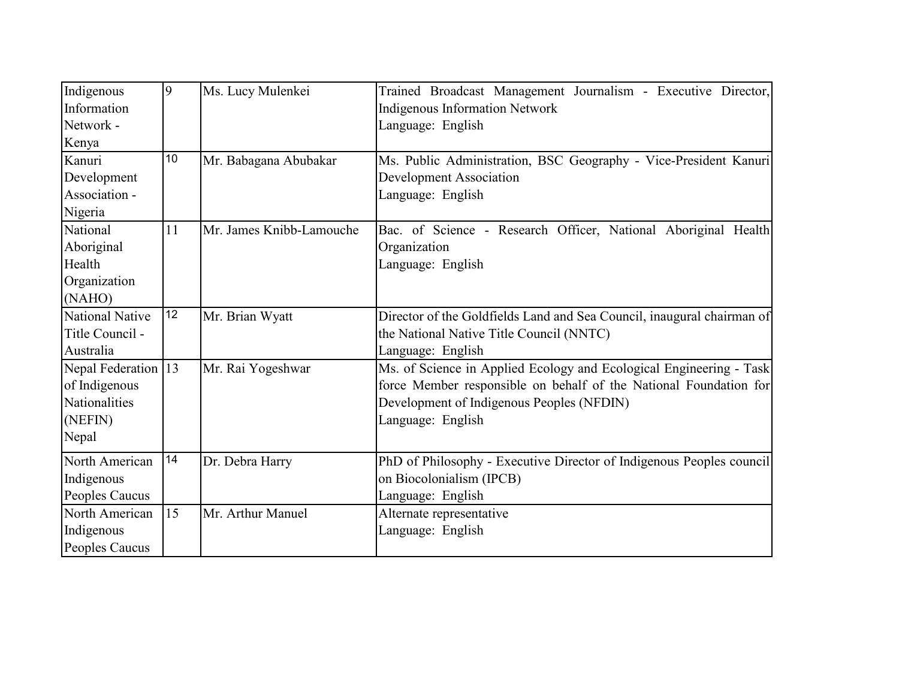| Indigenous<br>Information<br>Network -<br>Kenya                           | 9  | Ms. Lucy Mulenkei        | Trained Broadcast Management Journalism - Executive Director,<br>Indigenous Information Network<br>Language: English                                                                                       |
|---------------------------------------------------------------------------|----|--------------------------|------------------------------------------------------------------------------------------------------------------------------------------------------------------------------------------------------------|
| Kanuri<br>Development<br>Association -<br>Nigeria                         | 10 | Mr. Babagana Abubakar    | Ms. Public Administration, BSC Geography - Vice-President Kanuri<br><b>Development Association</b><br>Language: English                                                                                    |
| National<br>Aboriginal<br>Health<br>Organization<br>(NAHO)                | 11 | Mr. James Knibb-Lamouche | Bac. of Science - Research Officer, National Aboriginal Health<br>Organization<br>Language: English                                                                                                        |
| <b>National Native</b><br>Title Council -<br>Australia                    | 12 | Mr. Brian Wyatt          | Director of the Goldfields Land and Sea Council, inaugural chairman of<br>the National Native Title Council (NNTC)<br>Language: English                                                                    |
| Nepal Federation 13<br>of Indigenous<br>Nationalities<br>(NEFIN)<br>Nepal |    | Mr. Rai Yogeshwar        | Ms. of Science in Applied Ecology and Ecological Engineering - Task<br>force Member responsible on behalf of the National Foundation for<br>Development of Indigenous Peoples (NFDIN)<br>Language: English |
| North American<br>Indigenous<br>Peoples Caucus                            | 14 | Dr. Debra Harry          | PhD of Philosophy - Executive Director of Indigenous Peoples council<br>on Biocolonialism (IPCB)<br>Language: English                                                                                      |
| North American<br>Indigenous<br>Peoples Caucus                            | 15 | Mr. Arthur Manuel        | Alternate representative<br>Language: English                                                                                                                                                              |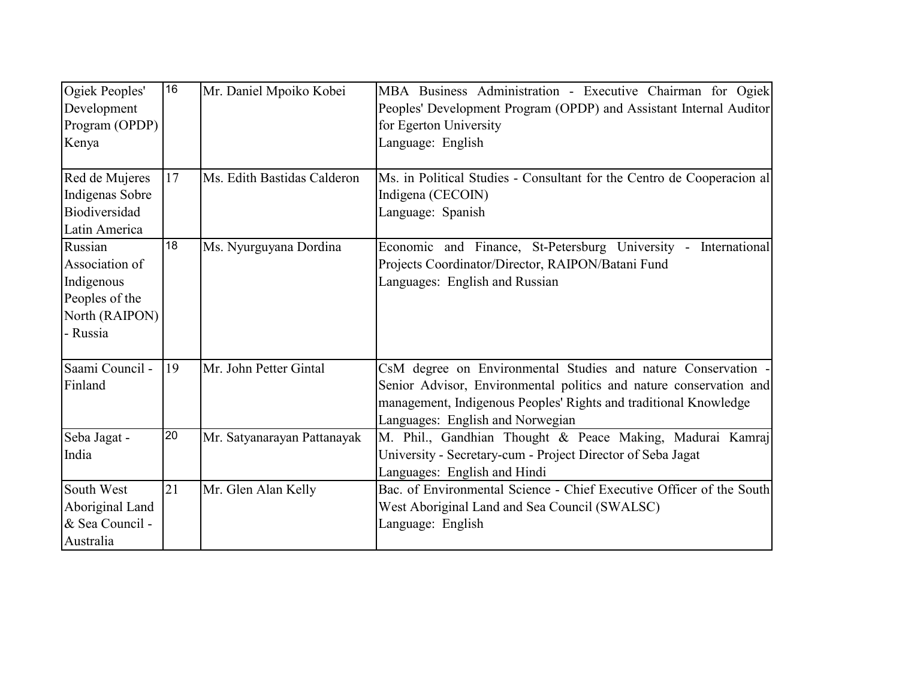| Ogiek Peoples'<br>Development<br>Program (OPDP)<br>Kenya                                | 16              | Mr. Daniel Mpoiko Kobei     | MBA Business Administration - Executive Chairman for Ogiek<br>Peoples' Development Program (OPDP) and Assistant Internal Auditor<br>for Egerton University<br>Language: English                                                             |
|-----------------------------------------------------------------------------------------|-----------------|-----------------------------|---------------------------------------------------------------------------------------------------------------------------------------------------------------------------------------------------------------------------------------------|
| Red de Mujeres<br>Indigenas Sobre<br>Biodiversidad<br>Latin America                     | 17              | Ms. Edith Bastidas Calderon | Ms. in Political Studies - Consultant for the Centro de Cooperacion all<br>Indigena (CECOIN)<br>Language: Spanish                                                                                                                           |
| Russian<br>Association of<br>Indigenous<br>Peoples of the<br>North (RAIPON)<br>- Russia | $\overline{18}$ | Ms. Nyurguyana Dordina      | Economic and Finance, St-Petersburg University - International<br>Projects Coordinator/Director, RAIPON/Batani Fund<br>Languages: English and Russian                                                                                       |
| Saami Council -<br>Finland                                                              | 19              | Mr. John Petter Gintal      | CsM degree on Environmental Studies and nature Conservation -<br>Senior Advisor, Environmental politics and nature conservation and<br>management, Indigenous Peoples' Rights and traditional Knowledge<br>Languages: English and Norwegian |
| Seba Jagat -<br>India                                                                   | 20              | Mr. Satyanarayan Pattanayak | M. Phil., Gandhian Thought & Peace Making, Madurai Kamraj<br>University - Secretary-cum - Project Director of Seba Jagat<br>Languages: English and Hindi                                                                                    |
| South West<br>Aboriginal Land<br>& Sea Council -<br>Australia                           | 21              | Mr. Glen Alan Kelly         | Bac. of Environmental Science - Chief Executive Officer of the South<br>West Aboriginal Land and Sea Council (SWALSC)<br>Language: English                                                                                                  |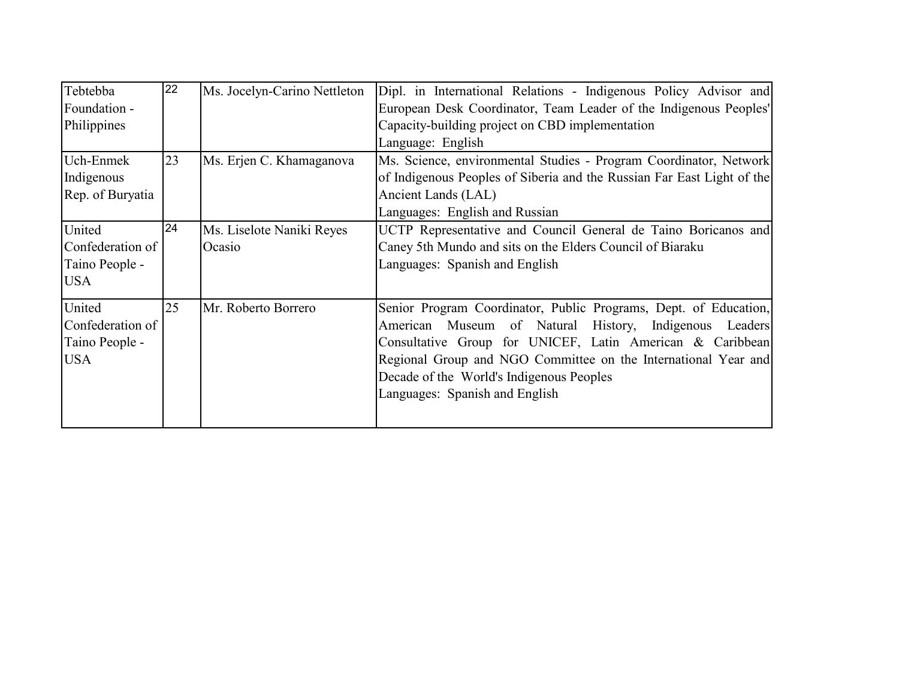| Tebtebba<br>Foundation -<br>Philippines                    | 22 | Ms. Jocelyn-Carino Nettleton        | Dipl. in International Relations - Indigenous Policy Advisor and<br>European Desk Coordinator, Team Leader of the Indigenous Peoples'<br>Capacity-building project on CBD implementation<br>Language: English                                                                                                                              |
|------------------------------------------------------------|----|-------------------------------------|--------------------------------------------------------------------------------------------------------------------------------------------------------------------------------------------------------------------------------------------------------------------------------------------------------------------------------------------|
| Uch-Enmek<br>Indigenous<br>Rep. of Buryatia                | 23 | Ms. Erjen C. Khamaganova            | Ms. Science, environmental Studies - Program Coordinator, Network<br>of Indigenous Peoples of Siberia and the Russian Far East Light of the<br>Ancient Lands (LAL)<br>Languages: English and Russian                                                                                                                                       |
| United<br>Confederation of<br>Taino People -<br><b>USA</b> | 24 | Ms. Liselote Naniki Reyes<br>Ocasio | UCTP Representative and Council General de Taino Boricanos and<br>Caney 5th Mundo and sits on the Elders Council of Biaraku<br>Languages: Spanish and English                                                                                                                                                                              |
| United<br>Confederation of<br>Taino People -<br><b>USA</b> | 25 | Mr. Roberto Borrero                 | Senior Program Coordinator, Public Programs, Dept. of Education,<br>Museum of Natural History, Indigenous Leaders<br>American<br>Consultative Group for UNICEF, Latin American & Caribbean<br>Regional Group and NGO Committee on the International Year and<br>Decade of the World's Indigenous Peoples<br>Languages: Spanish and English |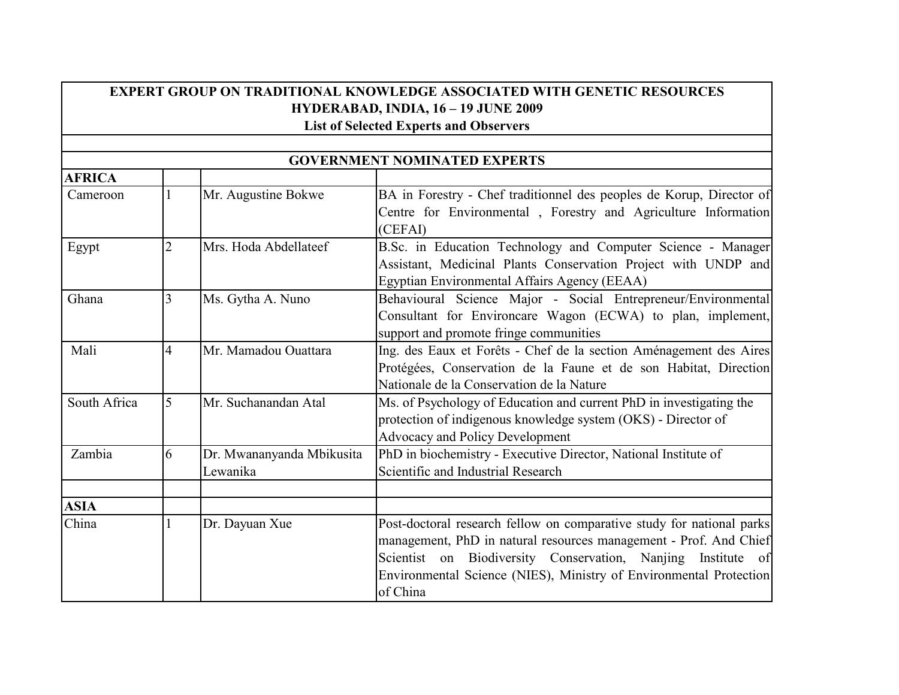## **EXPERT GROUP ON TRADITIONAL KNOWLEDGE ASSOCIATED WITH GENETIC RESOURCES HYDERABAD, INDIA, 16 – 19 JUNE 2009 List of Selected Experts and Observers**

|               |   |                           | <b>GOVERNMENT NOMINATED EXPERTS</b>                                   |
|---------------|---|---------------------------|-----------------------------------------------------------------------|
| <b>AFRICA</b> |   |                           |                                                                       |
| Cameroon      |   | Mr. Augustine Bokwe       | BA in Forestry - Chef traditionnel des peoples de Korup, Director of  |
|               |   |                           | Centre for Environmental, Forestry and Agriculture Information        |
|               |   |                           | (CEFAI)                                                               |
| Egypt         | າ | Mrs. Hoda Abdellateef     | B.Sc. in Education Technology and Computer Science - Manager          |
|               |   |                           | Assistant, Medicinal Plants Conservation Project with UNDP and        |
|               |   |                           | Egyptian Environmental Affairs Agency (EEAA)                          |
| Ghana         |   | Ms. Gytha A. Nuno         | Behavioural Science Major - Social Entrepreneur/Environmental         |
|               |   |                           | Consultant for Environcare Wagon (ECWA) to plan, implement,           |
|               |   |                           | support and promote fringe communities                                |
| Mali          | 4 | Mr. Mamadou Ouattara      | Ing. des Eaux et Forêts - Chef de la section Aménagement des Aires    |
|               |   |                           | Protégées, Conservation de la Faune et de son Habitat, Direction      |
|               |   |                           | Nationale de la Conservation de la Nature                             |
| South Africa  | 5 | Mr. Suchanandan Atal      | Ms. of Psychology of Education and current PhD in investigating the   |
|               |   |                           | protection of indigenous knowledge system (OKS) - Director of         |
|               |   |                           | <b>Advocacy and Policy Development</b>                                |
| Zambia        | 6 | Dr. Mwananyanda Mbikusita | PhD in biochemistry - Executive Director, National Institute of       |
|               |   | Lewanika                  | Scientific and Industrial Research                                    |
|               |   |                           |                                                                       |
| <b>ASIA</b>   |   |                           |                                                                       |
| China         |   | Dr. Dayuan Xue            | Post-doctoral research fellow on comparative study for national parks |
|               |   |                           | management, PhD in natural resources management - Prof. And Chief     |
|               |   |                           | Scientist on Biodiversity Conservation, Nanjing Institute of          |
|               |   |                           | Environmental Science (NIES), Ministry of Environmental Protection    |
|               |   |                           | of China                                                              |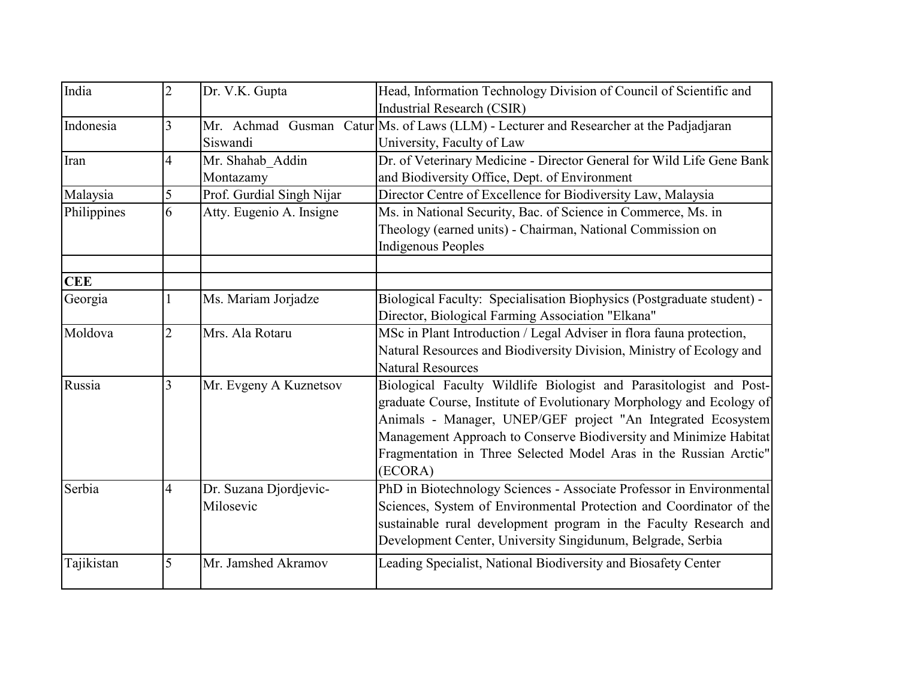| India       | $\overline{2}$ | Dr. V.K. Gupta            | Head, Information Technology Division of Council of Scientific and                     |
|-------------|----------------|---------------------------|----------------------------------------------------------------------------------------|
|             |                |                           | Industrial Research (CSIR)                                                             |
| Indonesia   | 3              |                           | Mr. Achmad Gusman Catur Ms. of Laws (LLM) - Lecturer and Researcher at the Padjadjaran |
|             |                | Siswandi                  | University, Faculty of Law                                                             |
| Iran        | $\overline{4}$ | Mr. Shahab_Addin          | Dr. of Veterinary Medicine - Director General for Wild Life Gene Bank                  |
|             |                | Montazamy                 | and Biodiversity Office, Dept. of Environment                                          |
| Malaysia    | 5              | Prof. Gurdial Singh Nijar | Director Centre of Excellence for Biodiversity Law, Malaysia                           |
| Philippines | 6              | Atty. Eugenio A. Insigne  | Ms. in National Security, Bac. of Science in Commerce, Ms. in                          |
|             |                |                           | Theology (earned units) - Chairman, National Commission on                             |
|             |                |                           | <b>Indigenous Peoples</b>                                                              |
| <b>CEE</b>  |                |                           |                                                                                        |
| Georgia     |                | Ms. Mariam Jorjadze       | Biological Faculty: Specialisation Biophysics (Postgraduate student) -                 |
|             |                |                           | Director, Biological Farming Association "Elkana"                                      |
| Moldova     | $\overline{2}$ | Mrs. Ala Rotaru           | MSc in Plant Introduction / Legal Adviser in flora fauna protection,                   |
|             |                |                           | Natural Resources and Biodiversity Division, Ministry of Ecology and                   |
|             |                |                           | <b>Natural Resources</b>                                                               |
| Russia      | 3              | Mr. Evgeny A Kuznetsov    | Biological Faculty Wildlife Biologist and Parasitologist and Post-                     |
|             |                |                           | graduate Course, Institute of Evolutionary Morphology and Ecology of                   |
|             |                |                           | Animals - Manager, UNEP/GEF project "An Integrated Ecosystem                           |
|             |                |                           | Management Approach to Conserve Biodiversity and Minimize Habitat                      |
|             |                |                           | Fragmentation in Three Selected Model Aras in the Russian Arctic"                      |
|             |                |                           | (ECORA)                                                                                |
| Serbia      | 4              | Dr. Suzana Djordjevic-    | PhD in Biotechnology Sciences - Associate Professor in Environmental                   |
|             |                | Milosevic                 | Sciences, System of Environmental Protection and Coordinator of the                    |
|             |                |                           | sustainable rural development program in the Faculty Research and                      |
|             |                |                           | Development Center, University Singidunum, Belgrade, Serbia                            |
| Tajikistan  | 5              | Mr. Jamshed Akramov       | Leading Specialist, National Biodiversity and Biosafety Center                         |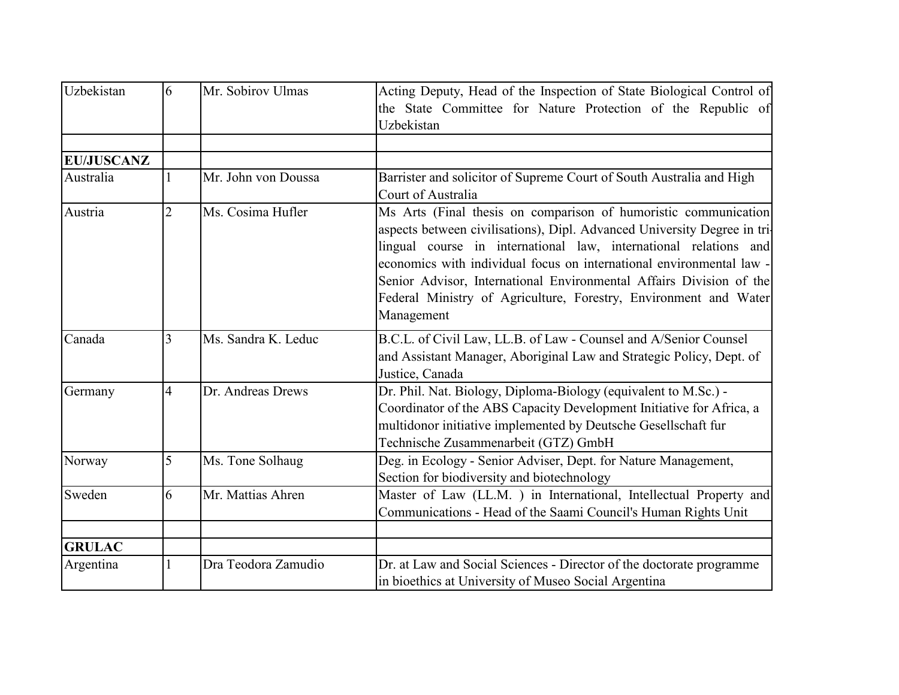| <b>Uzbekistan</b> | 6              | Mr. Sobirov Ulmas   | Acting Deputy, Head of the Inspection of State Biological Control of<br>the State Committee for Nature Protection of the Republic of<br>Uzbekistan                                                                                                                                                                                                                                                                                                |
|-------------------|----------------|---------------------|---------------------------------------------------------------------------------------------------------------------------------------------------------------------------------------------------------------------------------------------------------------------------------------------------------------------------------------------------------------------------------------------------------------------------------------------------|
|                   |                |                     |                                                                                                                                                                                                                                                                                                                                                                                                                                                   |
| <b>EU/JUSCANZ</b> |                |                     |                                                                                                                                                                                                                                                                                                                                                                                                                                                   |
| Australia         |                | Mr. John von Doussa | Barrister and solicitor of Supreme Court of South Australia and High<br>Court of Australia                                                                                                                                                                                                                                                                                                                                                        |
| Austria           | $\overline{2}$ | Ms. Cosima Hufler   | Ms Arts (Final thesis on comparison of humoristic communication)<br>aspects between civilisations), Dipl. Advanced University Degree in tri-<br>lingual course in international law, international relations and<br>economics with individual focus on international environmental law -<br>Senior Advisor, International Environmental Affairs Division of the<br>Federal Ministry of Agriculture, Forestry, Environment and Water<br>Management |
| Canada            | 3              | Ms. Sandra K. Leduc | B.C.L. of Civil Law, LL.B. of Law - Counsel and A/Senior Counsel<br>and Assistant Manager, Aboriginal Law and Strategic Policy, Dept. of<br>Justice, Canada                                                                                                                                                                                                                                                                                       |
| Germany           | $\overline{4}$ | Dr. Andreas Drews   | Dr. Phil. Nat. Biology, Diploma-Biology (equivalent to M.Sc.) -<br>Coordinator of the ABS Capacity Development Initiative for Africa, a<br>multidonor initiative implemented by Deutsche Gesellschaft fur<br>Technische Zusammenarbeit (GTZ) GmbH                                                                                                                                                                                                 |
| Norway            | 5              | Ms. Tone Solhaug    | Deg. in Ecology - Senior Adviser, Dept. for Nature Management,<br>Section for biodiversity and biotechnology                                                                                                                                                                                                                                                                                                                                      |
| Sweden            | 6              | Mr. Mattias Ahren   | Master of Law (LL.M.) in International, Intellectual Property and<br>Communications - Head of the Saami Council's Human Rights Unit                                                                                                                                                                                                                                                                                                               |
| <b>GRULAC</b>     |                |                     |                                                                                                                                                                                                                                                                                                                                                                                                                                                   |
| Argentina         |                | Dra Teodora Zamudio | Dr. at Law and Social Sciences - Director of the doctorate programme<br>in bioethics at University of Museo Social Argentina                                                                                                                                                                                                                                                                                                                      |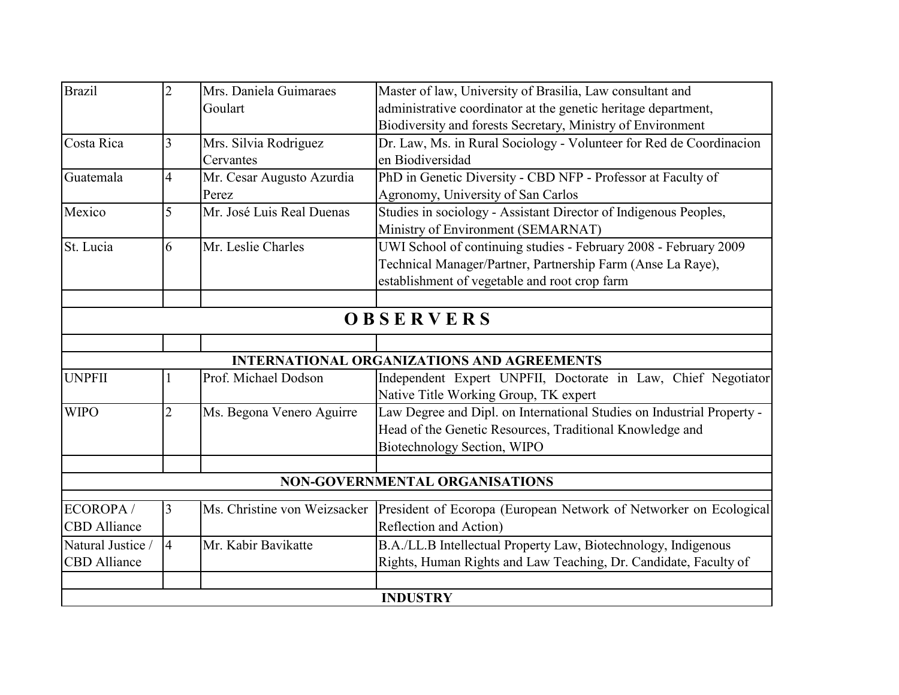| <b>Brazil</b>       | $\overline{2}$ | Mrs. Daniela Guimaraes       | Master of law, University of Brasilia, Law consultant and              |
|---------------------|----------------|------------------------------|------------------------------------------------------------------------|
|                     |                | Goulart                      | administrative coordinator at the genetic heritage department,         |
|                     |                |                              | Biodiversity and forests Secretary, Ministry of Environment            |
| Costa Rica          | 3              | Mrs. Silvia Rodriguez        | Dr. Law, Ms. in Rural Sociology - Volunteer for Red de Coordinacion    |
|                     |                | Cervantes                    | en Biodiversidad                                                       |
| Guatemala           | $\overline{A}$ | Mr. Cesar Augusto Azurdia    | PhD in Genetic Diversity - CBD NFP - Professor at Faculty of           |
|                     |                | Perez                        | Agronomy, University of San Carlos                                     |
| Mexico              | 5              | Mr. José Luis Real Duenas    | Studies in sociology - Assistant Director of Indigenous Peoples,       |
|                     |                |                              | Ministry of Environment (SEMARNAT)                                     |
| St. Lucia           | 6              | Mr. Leslie Charles           | UWI School of continuing studies - February 2008 - February 2009       |
|                     |                |                              | Technical Manager/Partner, Partnership Farm (Anse La Raye),            |
|                     |                |                              | establishment of vegetable and root crop farm                          |
|                     |                |                              |                                                                        |
|                     |                |                              | OBSERVERS                                                              |
|                     |                |                              |                                                                        |
|                     |                |                              | <b>INTERNATIONAL ORGANIZATIONS AND AGREEMENTS</b>                      |
| <b>UNPFII</b>       |                | Prof. Michael Dodson         | Independent Expert UNPFII, Doctorate in Law, Chief Negotiator          |
|                     |                |                              | Native Title Working Group, TK expert                                  |
| <b>WIPO</b>         | $\overline{2}$ | Ms. Begona Venero Aguirre    | Law Degree and Dipl. on International Studies on Industrial Property - |
|                     |                |                              | Head of the Genetic Resources, Traditional Knowledge and               |
|                     |                |                              | Biotechnology Section, WIPO                                            |
|                     |                |                              | <b>NON-GOVERNMENTAL ORGANISATIONS</b>                                  |
|                     |                |                              |                                                                        |
| ECOROPA/            | 3              | Ms. Christine von Weizsacker | President of Ecoropa (European Network of Networker on Ecological)     |
| <b>CBD</b> Alliance |                |                              | Reflection and Action)                                                 |
| Natural Justice /   | 14             | Mr. Kabir Bavikatte          | B.A./LL.B Intellectual Property Law, Biotechnology, Indigenous         |
| <b>CBD</b> Alliance |                |                              | Rights, Human Rights and Law Teaching, Dr. Candidate, Faculty of       |
|                     |                |                              |                                                                        |
|                     |                |                              | <b>INDUSTRY</b>                                                        |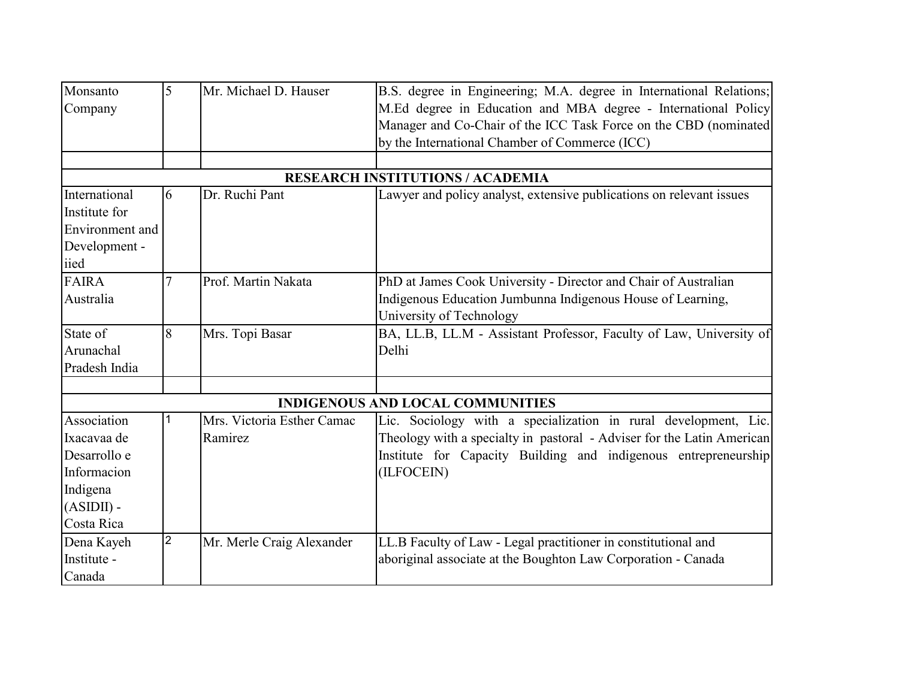| Monsanto<br>Company                                                                                 | 5              | Mr. Michael D. Hauser                 | B.S. degree in Engineering; M.A. degree in International Relations;<br>M.Ed degree in Education and MBA degree - International Policy<br>Manager and Co-Chair of the ICC Task Force on the CBD (nominated<br>by the International Chamber of Commerce (ICC) |
|-----------------------------------------------------------------------------------------------------|----------------|---------------------------------------|-------------------------------------------------------------------------------------------------------------------------------------------------------------------------------------------------------------------------------------------------------------|
|                                                                                                     |                |                                       |                                                                                                                                                                                                                                                             |
|                                                                                                     |                |                                       | <b>RESEARCH INSTITUTIONS / ACADEMIA</b>                                                                                                                                                                                                                     |
| International<br>Institute for<br><b>Environment</b> and                                            | 6              | Dr. Ruchi Pant                        | Lawyer and policy analyst, extensive publications on relevant issues                                                                                                                                                                                        |
| Development -<br>iied                                                                               |                |                                       |                                                                                                                                                                                                                                                             |
| <b>FAIRA</b><br>Australia                                                                           |                | Prof. Martin Nakata                   | PhD at James Cook University - Director and Chair of Australian<br>Indigenous Education Jumbunna Indigenous House of Learning,<br>University of Technology                                                                                                  |
| State of<br>Arunachal<br>Pradesh India                                                              | 8              | Mrs. Topi Basar                       | BA, LL.B, LL.M - Assistant Professor, Faculty of Law, University of<br>Delhi                                                                                                                                                                                |
|                                                                                                     |                |                                       |                                                                                                                                                                                                                                                             |
|                                                                                                     |                |                                       | <b>INDIGENOUS AND LOCAL COMMUNITIES</b>                                                                                                                                                                                                                     |
| Association<br>Ixacavaa de<br>Desarrollo e<br>Informacion<br>Indigena<br>$(ASIDII)$ -<br>Costa Rica |                | Mrs. Victoria Esther Camac<br>Ramirez | Lic. Sociology with a specialization in rural development, Lic.<br>Theology with a specialty in pastoral - Adviser for the Latin American<br>Institute for Capacity Building and indigenous entrepreneurship<br>(ILFOCEIN)                                  |
| Dena Kayeh<br>Institute -<br>Canada                                                                 | $\overline{2}$ | Mr. Merle Craig Alexander             | LL.B Faculty of Law - Legal practitioner in constitutional and<br>aboriginal associate at the Boughton Law Corporation - Canada                                                                                                                             |